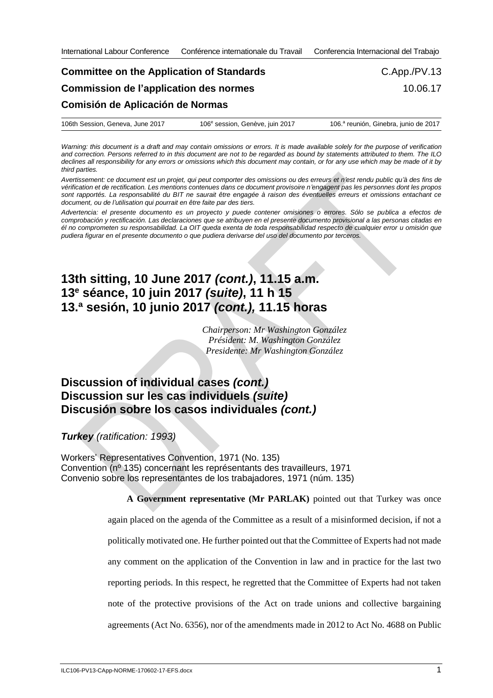## **Committee on the Application of Standards Commission de l'application des normes Comisión de Aplicación de Normas** C.App./PV.13 10.06.17

| 106th Session, Geneva, June 2017 | 106 <sup>e</sup> session, Genève, juin 2017 | 106.ª reunión, Ginebra, junio de 2017 |
|----------------------------------|---------------------------------------------|---------------------------------------|
|----------------------------------|---------------------------------------------|---------------------------------------|

*Warning: this document is a draft and may contain omissions or errors. It is made available solely for the purpose of verification and correction. Persons referred to in this document are not to be regarded as bound by statements attributed to them. The ILO declines all responsibility for any errors or omissions which this document may contain, or for any use which may be made of it by third parties.*

*Avertissement: ce document est un projet, qui peut comporter des omissions ou des erreurs et n'est rendu public qu'à des fins de vérification et de rectification. Les mentions contenues dans ce document provisoire n'engagent pas les personnes dont les propos sont rapportés. La responsabilité du BIT ne saurait être engagée à raison des éventuelles erreurs et omissions entachant ce document, ou de l'utilisation qui pourrait en être faite par des tiers.*

*Advertencia: el presente documento es un proyecto y puede contener omisiones o errores. Sólo se publica a efectos de comprobación y rectificación. Las declaraciones que se atribuyen en el presente documento provisional a las personas citadas en él no comprometen su responsabilidad. La OIT queda exenta de toda responsabilidad respecto de cualquier error u omisión que pudiera figurar en el presente documento o que pudiera derivarse del uso del documento por terceros.*

## **13th sitting, 10 June 2017** *(cont.)***, 11.15 a.m. 13<sup>e</sup> séance, 10 juin 2017** *(suite)***, 11 h 15 13.ª sesión, 10 junio 2017** *(cont.),* **11.15 horas**

*Chairperson: Mr Washington González Président: M. Washington González Presidente: Mr Washington González*

## **Discussion of individual cases** *(cont.)* **Discussion sur les cas individuels** *(suite)* **Discusión sobre los casos individuales** *(cont.)*

*Turkey (ratification: 1993)*

Workers' Representatives Convention, 1971 (No. 135) Convention (nº 135) concernant les représentants des travailleurs, 1971 Convenio sobre los representantes de los trabajadores, 1971 (núm. 135)

> **A Government representative (Mr PARLAK)** pointed out that Turkey was once again placed on the agenda of the Committee as a result of a misinformed decision, if not a politically motivated one. He further pointed out that the Committee of Experts had not made any comment on the application of the Convention in law and in practice for the last two reporting periods. In this respect, he regretted that the Committee of Experts had not taken note of the protective provisions of the Act on trade unions and collective bargaining agreements (Act No. 6356), nor of the amendments made in 2012 to Act No. 4688 on Public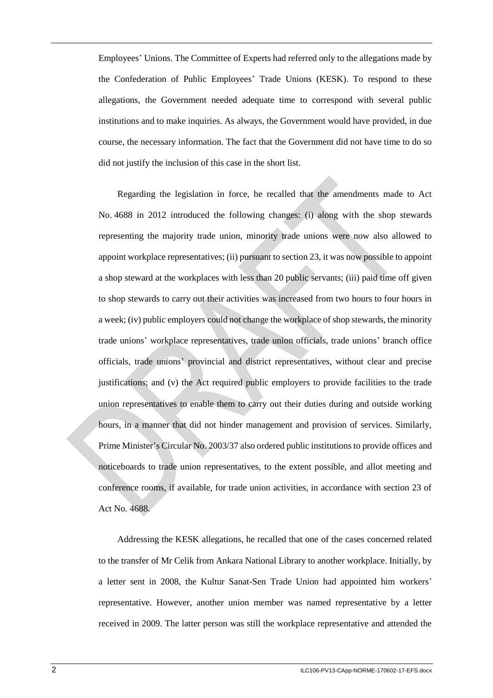Employees' Unions. The Committee of Experts had referred only to the allegations made by the Confederation of Public Employees' Trade Unions (KESK). To respond to these allegations, the Government needed adequate time to correspond with several public institutions and to make inquiries. As always, the Government would have provided, in due course, the necessary information. The fact that the Government did not have time to do so did not justify the inclusion of this case in the short list.

Regarding the legislation in force, he recalled that the amendments made to Act No. 4688 in 2012 introduced the following changes: (i) along with the shop stewards representing the majority trade union, minority trade unions were now also allowed to appoint workplace representatives; (ii) pursuant to section 23, it was now possible to appoint a shop steward at the workplaces with less than 20 public servants; (iii) paid time off given to shop stewards to carry out their activities was increased from two hours to four hours in a week; (iv) public employers could not change the workplace of shop stewards, the minority trade unions' workplace representatives, trade union officials, trade unions' branch office officials, trade unions' provincial and district representatives, without clear and precise justifications; and (v) the Act required public employers to provide facilities to the trade union representatives to enable them to carry out their duties during and outside working hours, in a manner that did not hinder management and provision of services. Similarly, Prime Minister's Circular No. 2003/37 also ordered public institutions to provide offices and noticeboards to trade union representatives, to the extent possible, and allot meeting and conference rooms, if available, for trade union activities, in accordance with section 23 of Act No. 4688.

Addressing the KESK allegations, he recalled that one of the cases concerned related to the transfer of Mr Celik from Ankara National Library to another workplace. Initially, by a letter sent in 2008, the Kultur Sanat-Sen Trade Union had appointed him workers' representative. However, another union member was named representative by a letter received in 2009. The latter person was still the workplace representative and attended the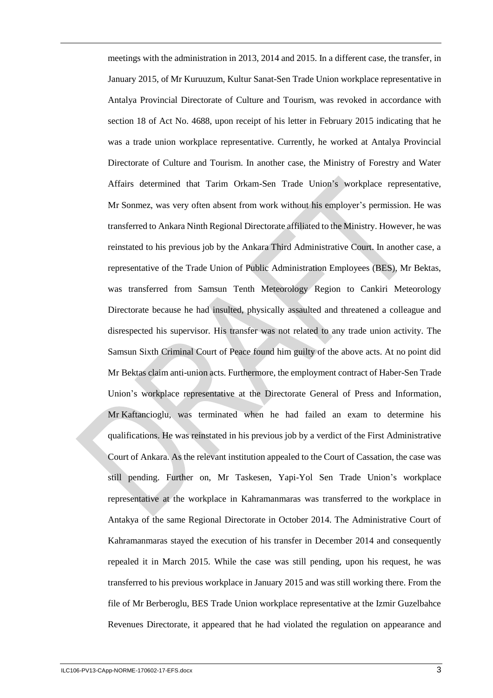meetings with the administration in 2013, 2014 and 2015. In a different case, the transfer, in January 2015, of Mr Kuruuzum, Kultur Sanat-Sen Trade Union workplace representative in Antalya Provincial Directorate of Culture and Tourism, was revoked in accordance with section 18 of Act No. 4688, upon receipt of his letter in February 2015 indicating that he was a trade union workplace representative. Currently, he worked at Antalya Provincial Directorate of Culture and Tourism. In another case, the Ministry of Forestry and Water Affairs determined that Tarim Orkam-Sen Trade Union's workplace representative, Mr Sonmez, was very often absent from work without his employer's permission. He was transferred to Ankara Ninth Regional Directorate affiliated to the Ministry. However, he was reinstated to his previous job by the Ankara Third Administrative Court. In another case, a representative of the Trade Union of Public Administration Employees (BES), Mr Bektas, was transferred from Samsun Tenth Meteorology Region to Cankiri Meteorology Directorate because he had insulted, physically assaulted and threatened a colleague and disrespected his supervisor. His transfer was not related to any trade union activity. The Samsun Sixth Criminal Court of Peace found him guilty of the above acts. At no point did Mr Bektas claim anti-union acts. Furthermore, the employment contract of Haber-Sen Trade Union's workplace representative at the Directorate General of Press and Information, Mr Kaftancioglu, was terminated when he had failed an exam to determine his qualifications. He was reinstated in his previous job by a verdict of the First Administrative Court of Ankara. As the relevant institution appealed to the Court of Cassation, the case was still pending. Further on, Mr Taskesen, Yapi-Yol Sen Trade Union's workplace representative at the workplace in Kahramanmaras was transferred to the workplace in Antakya of the same Regional Directorate in October 2014. The Administrative Court of Kahramanmaras stayed the execution of his transfer in December 2014 and consequently repealed it in March 2015. While the case was still pending, upon his request, he was transferred to his previous workplace in January 2015 and was still working there. From the file of Mr Berberoglu, BES Trade Union workplace representative at the Izmir Guzelbahce Revenues Directorate, it appeared that he had violated the regulation on appearance and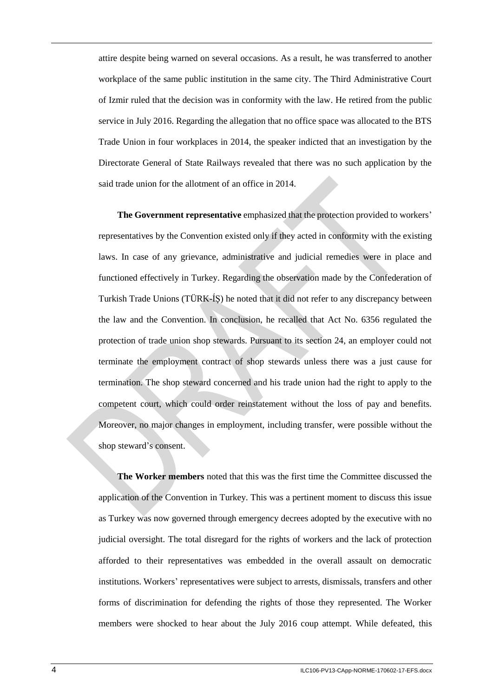attire despite being warned on several occasions. As a result, he was transferred to another workplace of the same public institution in the same city. The Third Administrative Court of Izmir ruled that the decision was in conformity with the law. He retired from the public service in July 2016. Regarding the allegation that no office space was allocated to the BTS Trade Union in four workplaces in 2014, the speaker indicted that an investigation by the Directorate General of State Railways revealed that there was no such application by the said trade union for the allotment of an office in 2014.

**The Government representative** emphasized that the protection provided to workers' representatives by the Convention existed only if they acted in conformity with the existing laws. In case of any grievance, administrative and judicial remedies were in place and functioned effectively in Turkey. Regarding the observation made by the Confederation of Turkish Trade Unions (TÜRK-ÍŞ) he noted that it did not refer to any discrepancy between the law and the Convention. In conclusion, he recalled that Act No. 6356 regulated the protection of trade union shop stewards. Pursuant to its section 24, an employer could not terminate the employment contract of shop stewards unless there was a just cause for termination. The shop steward concerned and his trade union had the right to apply to the competent court, which could order reinstatement without the loss of pay and benefits. Moreover, no major changes in employment, including transfer, were possible without the shop steward's consent.

**The Worker members** noted that this was the first time the Committee discussed the application of the Convention in Turkey. This was a pertinent moment to discuss this issue as Turkey was now governed through emergency decrees adopted by the executive with no judicial oversight. The total disregard for the rights of workers and the lack of protection afforded to their representatives was embedded in the overall assault on democratic institutions. Workers' representatives were subject to arrests, dismissals, transfers and other forms of discrimination for defending the rights of those they represented. The Worker members were shocked to hear about the July 2016 coup attempt. While defeated, this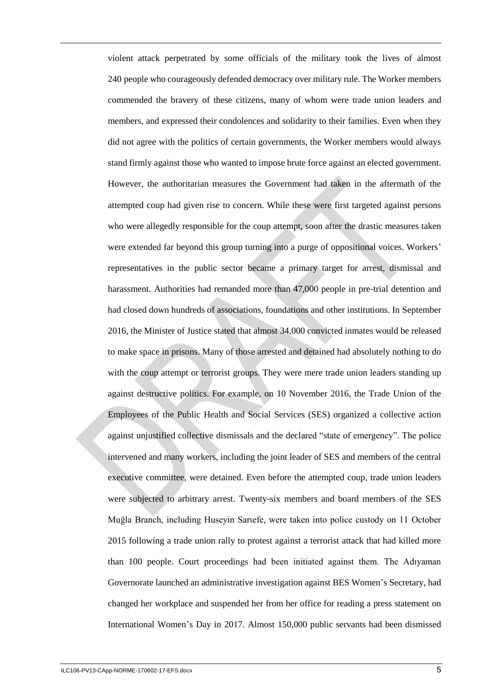violent attack perpetrated by some officials of the military took the lives of almost 240 people who courageously defended democracy over military rule. The Worker members commended the bravery of these citizens, many of whom were trade union leaders and members, and expressed their condolences and solidarity to their families. Even when they did not agree with the politics of certain governments, the Worker members would always stand firmly against those who wanted to impose brute force against an elected government. However, the authoritarian measures the Government had taken in the aftermath of the attempted coup had given rise to concern. While these were first targeted against persons who were allegedly responsible for the coup attempt, soon after the drastic measures taken were extended far beyond this group turning into a purge of oppositional voices. Workers' representatives in the public sector became a primary target for arrest, dismissal and harassment. Authorities had remanded more than 47,000 people in pre-trial detention and had closed down hundreds of associations, foundations and other institutions. In September 2016, the Minister of Justice stated that almost 34,000 convicted inmates would be released to make space in prisons. Many of those arrested and detained had absolutely nothing to do with the coup attempt or terrorist groups. They were mere trade union leaders standing up against destructive politics. For example, on 10 November 2016, the Trade Union of the Employees of the Public Health and Social Services (SES) organized a collective action against unjustified collective dismissals and the declared "state of emergency". The police intervened and many workers, including the joint leader of SES and members of the central executive committee, were detained. Even before the attempted coup, trade union leaders were subjected to arbitrary arrest. Twenty-six members and board members of the SES Muğla Branch, including Huseyin Sarıefe, were taken into police custody on 11 October 2015 following a trade union rally to protest against a terrorist attack that had killed more than 100 people. Court proceedings had been initiated against them. The Adıyaman Governorate launched an administrative investigation against BES Women's Secretary, had changed her workplace and suspended her from her office for reading a press statement on International Women's Day in 2017. Almost 150,000 public servants had been dismissed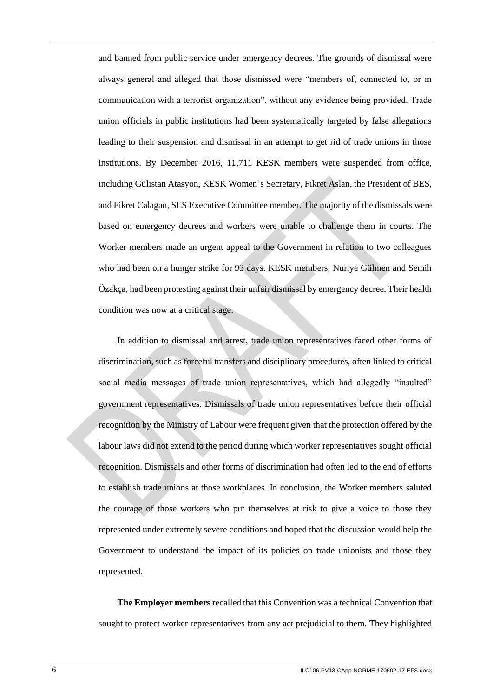and banned from public service under emergency decrees. The grounds of dismissal were always general and alleged that those dismissed were "members of, connected to, or in communication with a terrorist organization", without any evidence being provided. Trade union officials in public institutions had been systematically targeted by false allegations leading to their suspension and dismissal in an attempt to get rid of trade unions in those institutions. By December 2016, 11,711 KESK members were suspended from office, including Gülistan Atasyon, KESK Women's Secretary, Fikret Aslan, the President of BES, and Fikret Calagan, SES Executive Committee member. The majority of the dismissals were based on emergency decrees and workers were unable to challenge them in courts. The Worker members made an urgent appeal to the Government in relation to two colleagues who had been on a hunger strike for 93 days. KESK members, Nuriye Gülmen and Semih Özakça, had been protesting against their unfair dismissal by emergency decree. Their health condition was now at a critical stage.

In addition to dismissal and arrest, trade union representatives faced other forms of discrimination, such as forceful transfers and disciplinary procedures, often linked to critical social media messages of trade union representatives, which had allegedly "insulted" government representatives. Dismissals of trade union representatives before their official recognition by the Ministry of Labour were frequent given that the protection offered by the labour laws did not extend to the period during which worker representatives sought official recognition. Dismissals and other forms of discrimination had often led to the end of efforts to establish trade unions at those workplaces. In conclusion, the Worker members saluted the courage of those workers who put themselves at risk to give a voice to those they represented under extremely severe conditions and hoped that the discussion would help the Government to understand the impact of its policies on trade unionists and those they represented.

**The Employer members** recalled that this Convention was a technical Convention that sought to protect worker representatives from any act prejudicial to them. They highlighted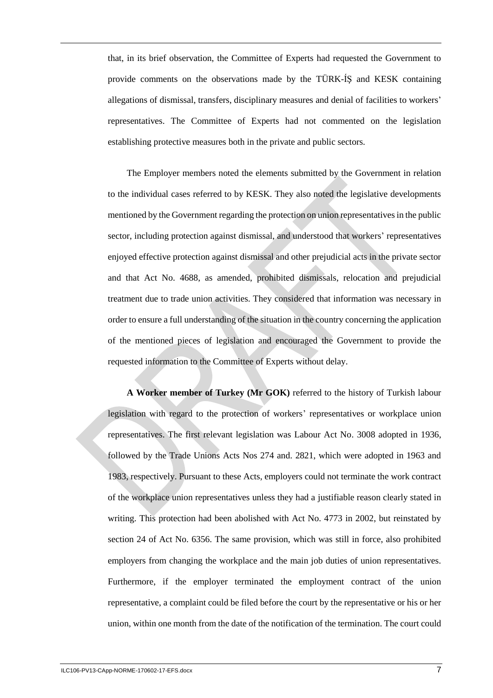that, in its brief observation, the Committee of Experts had requested the Government to provide comments on the observations made by the TÜRK-ÍŞ and KESK containing allegations of dismissal, transfers, disciplinary measures and denial of facilities to workers' representatives. The Committee of Experts had not commented on the legislation establishing protective measures both in the private and public sectors.

The Employer members noted the elements submitted by the Government in relation to the individual cases referred to by KESK. They also noted the legislative developments mentioned by the Government regarding the protection on union representatives in the public sector, including protection against dismissal, and understood that workers' representatives enjoyed effective protection against dismissal and other prejudicial acts in the private sector and that Act No. 4688, as amended, prohibited dismissals, relocation and prejudicial treatment due to trade union activities. They considered that information was necessary in order to ensure a full understanding of the situation in the country concerning the application of the mentioned pieces of legislation and encouraged the Government to provide the requested information to the Committee of Experts without delay.

**A Worker member of Turkey (Mr GOK)** referred to the history of Turkish labour legislation with regard to the protection of workers' representatives or workplace union representatives. The first relevant legislation was Labour Act No. 3008 adopted in 1936, followed by the Trade Unions Acts Nos 274 and. 2821, which were adopted in 1963 and 1983, respectively. Pursuant to these Acts, employers could not terminate the work contract of the workplace union representatives unless they had a justifiable reason clearly stated in writing. This protection had been abolished with Act No. 4773 in 2002, but reinstated by section 24 of Act No. 6356. The same provision, which was still in force, also prohibited employers from changing the workplace and the main job duties of union representatives. Furthermore, if the employer terminated the employment contract of the union representative, a complaint could be filed before the court by the representative or his or her union, within one month from the date of the notification of the termination. The court could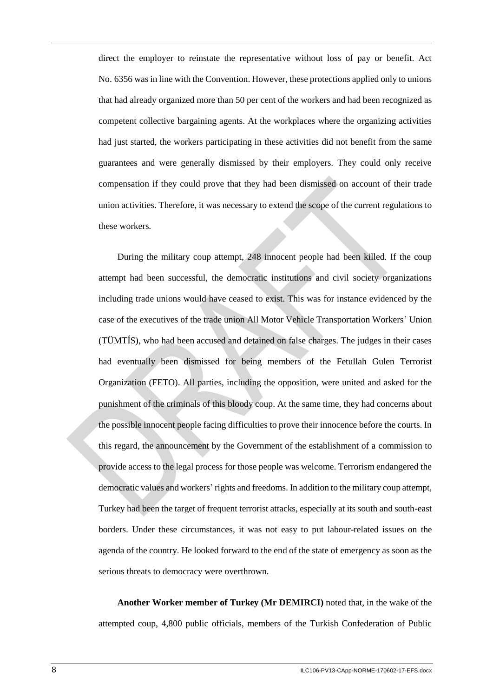direct the employer to reinstate the representative without loss of pay or benefit. Act No. 6356 was in line with the Convention. However, these protections applied only to unions that had already organized more than 50 per cent of the workers and had been recognized as competent collective bargaining agents. At the workplaces where the organizing activities had just started, the workers participating in these activities did not benefit from the same guarantees and were generally dismissed by their employers. They could only receive compensation if they could prove that they had been dismissed on account of their trade union activities. Therefore, it was necessary to extend the scope of the current regulations to these workers.

During the military coup attempt, 248 innocent people had been killed. If the coup attempt had been successful, the democratic institutions and civil society organizations including trade unions would have ceased to exist. This was for instance evidenced by the case of the executives of the trade union All Motor Vehicle Transportation Workers' Union (TÜMTÍS), who had been accused and detained on false charges. The judges in their cases had eventually been dismissed for being members of the Fetullah Gulen Terrorist Organization (FETO). All parties, including the opposition, were united and asked for the punishment of the criminals of this bloody coup. At the same time, they had concerns about the possible innocent people facing difficulties to prove their innocence before the courts. In this regard, the announcement by the Government of the establishment of a commission to provide access to the legal process for those people was welcome. Terrorism endangered the democratic values and workers' rights and freedoms. In addition to the military coup attempt, Turkey had been the target of frequent terrorist attacks, especially at its south and south-east borders. Under these circumstances, it was not easy to put labour-related issues on the agenda of the country. He looked forward to the end of the state of emergency as soon as the serious threats to democracy were overthrown.

**Another Worker member of Turkey (Mr DEMIRCI)** noted that, in the wake of the attempted coup, 4,800 public officials, members of the Turkish Confederation of Public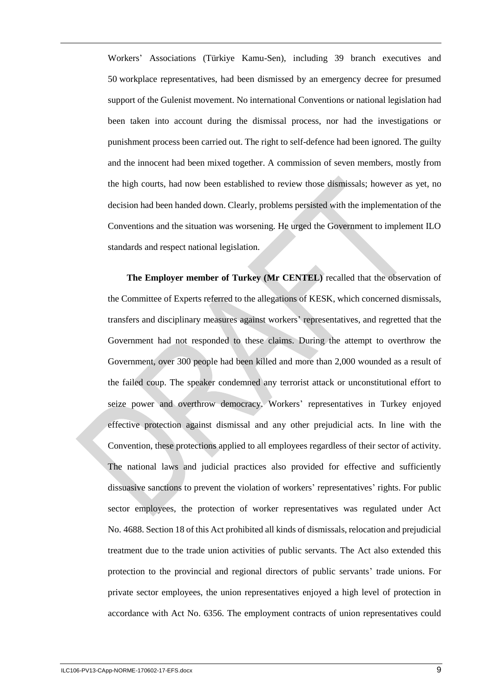Workers' Associations (Türkiye Kamu-Sen), including 39 branch executives and 50 workplace representatives, had been dismissed by an emergency decree for presumed support of the Gulenist movement. No international Conventions or national legislation had been taken into account during the dismissal process, nor had the investigations or punishment process been carried out. The right to self-defence had been ignored. The guilty and the innocent had been mixed together. A commission of seven members, mostly from the high courts, had now been established to review those dismissals; however as yet, no decision had been handed down. Clearly, problems persisted with the implementation of the Conventions and the situation was worsening. He urged the Government to implement ILO standards and respect national legislation.

**The Employer member of Turkey (Mr CENTEL)** recalled that the observation of the Committee of Experts referred to the allegations of KESK, which concerned dismissals, transfers and disciplinary measures against workers' representatives, and regretted that the Government had not responded to these claims. During the attempt to overthrow the Government, over 300 people had been killed and more than 2,000 wounded as a result of the failed coup. The speaker condemned any terrorist attack or unconstitutional effort to seize power and overthrow democracy. Workers' representatives in Turkey enjoyed effective protection against dismissal and any other prejudicial acts. In line with the Convention, these protections applied to all employees regardless of their sector of activity. The national laws and judicial practices also provided for effective and sufficiently dissuasive sanctions to prevent the violation of workers' representatives' rights. For public sector employees, the protection of worker representatives was regulated under Act No. 4688. Section 18 of this Act prohibited all kinds of dismissals, relocation and prejudicial treatment due to the trade union activities of public servants. The Act also extended this protection to the provincial and regional directors of public servants' trade unions. For private sector employees, the union representatives enjoyed a high level of protection in accordance with Act No. 6356. The employment contracts of union representatives could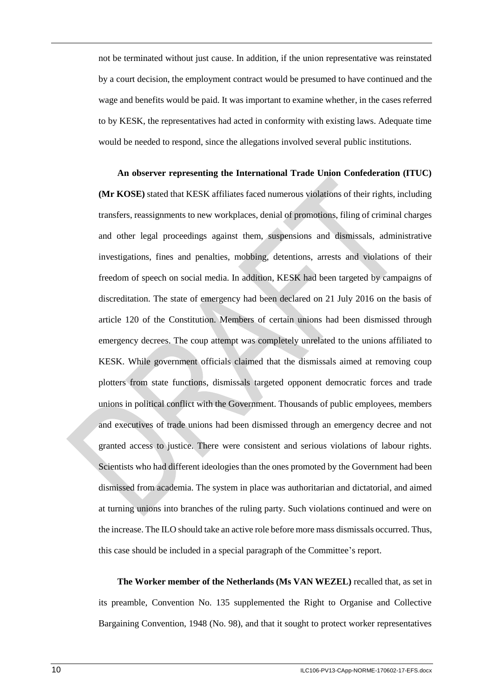not be terminated without just cause. In addition, if the union representative was reinstated by a court decision, the employment contract would be presumed to have continued and the wage and benefits would be paid. It was important to examine whether, in the cases referred to by KESK, the representatives had acted in conformity with existing laws. Adequate time would be needed to respond, since the allegations involved several public institutions.

**An observer representing the International Trade Union Confederation (ITUC) (Mr KOSE)** stated that KESK affiliates faced numerous violations of their rights, including transfers, reassignments to new workplaces, denial of promotions, filing of criminal charges and other legal proceedings against them, suspensions and dismissals, administrative investigations, fines and penalties, mobbing, detentions, arrests and violations of their freedom of speech on social media. In addition, KESK had been targeted by campaigns of discreditation. The state of emergency had been declared on 21 July 2016 on the basis of article 120 of the Constitution. Members of certain unions had been dismissed through emergency decrees. The coup attempt was completely unrelated to the unions affiliated to KESK. While government officials claimed that the dismissals aimed at removing coup plotters from state functions, dismissals targeted opponent democratic forces and trade unions in political conflict with the Government. Thousands of public employees, members and executives of trade unions had been dismissed through an emergency decree and not granted access to justice. There were consistent and serious violations of labour rights. Scientists who had different ideologies than the ones promoted by the Government had been dismissed from academia. The system in place was authoritarian and dictatorial, and aimed at turning unions into branches of the ruling party. Such violations continued and were on the increase. The ILO should take an active role before more mass dismissals occurred. Thus, this case should be included in a special paragraph of the Committee's report.

**The Worker member of the Netherlands (Ms VAN WEZEL)** recalled that, as set in its preamble, Convention No. 135 supplemented the Right to Organise and Collective Bargaining Convention, 1948 (No. 98), and that it sought to protect worker representatives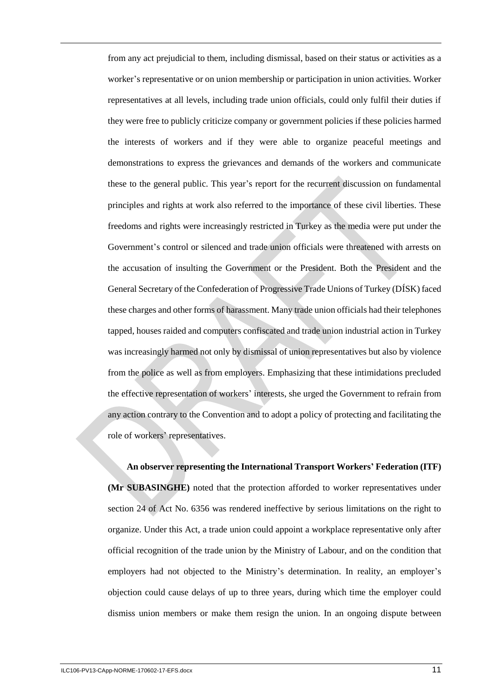from any act prejudicial to them, including dismissal, based on their status or activities as a worker's representative or on union membership or participation in union activities. Worker representatives at all levels, including trade union officials, could only fulfil their duties if they were free to publicly criticize company or government policies if these policies harmed the interests of workers and if they were able to organize peaceful meetings and demonstrations to express the grievances and demands of the workers and communicate these to the general public. This year's report for the recurrent discussion on fundamental principles and rights at work also referred to the importance of these civil liberties. These freedoms and rights were increasingly restricted in Turkey as the media were put under the Government's control or silenced and trade union officials were threatened with arrests on the accusation of insulting the Government or the President. Both the President and the General Secretary of the Confederation of Progressive Trade Unions of Turkey (DÍSK) faced these charges and other forms of harassment. Many trade union officials had their telephones tapped, houses raided and computers confiscated and trade union industrial action in Turkey was increasingly harmed not only by dismissal of union representatives but also by violence from the police as well as from employers. Emphasizing that these intimidations precluded the effective representation of workers' interests, she urged the Government to refrain from any action contrary to the Convention and to adopt a policy of protecting and facilitating the role of workers' representatives.

**An observer representing the International Transport Workers' Federation (ITF) (Mr SUBASINGHE)** noted that the protection afforded to worker representatives under section 24 of Act No. 6356 was rendered ineffective by serious limitations on the right to organize. Under this Act, a trade union could appoint a workplace representative only after official recognition of the trade union by the Ministry of Labour, and on the condition that employers had not objected to the Ministry's determination. In reality, an employer's objection could cause delays of up to three years, during which time the employer could dismiss union members or make them resign the union. In an ongoing dispute between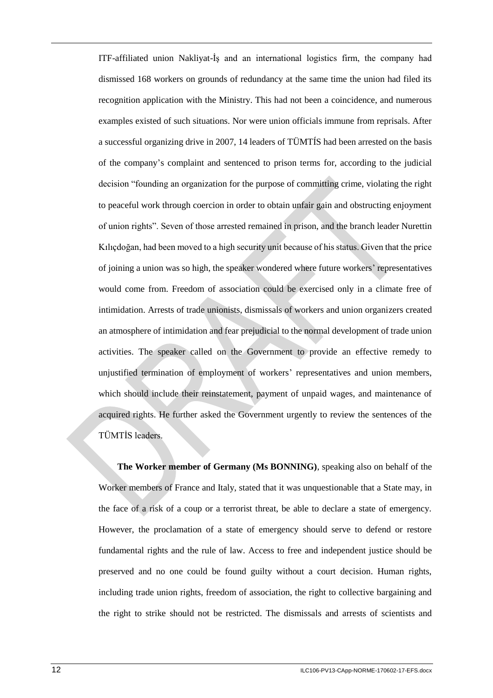ITF-affiliated union Nakliyat-İş and an international logistics firm, the company had dismissed 168 workers on grounds of redundancy at the same time the union had filed its recognition application with the Ministry. This had not been a coincidence, and numerous examples existed of such situations. Nor were union officials immune from reprisals. After a successful organizing drive in 2007, 14 leaders of TÜMTÍS had been arrested on the basis of the company's complaint and sentenced to prison terms for, according to the judicial decision "founding an organization for the purpose of committing crime, violating the right to peaceful work through coercion in order to obtain unfair gain and obstructing enjoyment of union rights". Seven of those arrested remained in prison, and the branch leader Nurettin Kılıçdoğan, had been moved to a high security unit because of his status. Given that the price of joining a union was so high, the speaker wondered where future workers' representatives would come from. Freedom of association could be exercised only in a climate free of intimidation. Arrests of trade unionists, dismissals of workers and union organizers created an atmosphere of intimidation and fear prejudicial to the normal development of trade union activities. The speaker called on the Government to provide an effective remedy to unjustified termination of employment of workers' representatives and union members, which should include their reinstatement, payment of unpaid wages, and maintenance of acquired rights. He further asked the Government urgently to review the sentences of the TÜMTİS leaders.

**The Worker member of Germany (Ms BONNING)**, speaking also on behalf of the Worker members of France and Italy, stated that it was unquestionable that a State may, in the face of a risk of a coup or a terrorist threat, be able to declare a state of emergency. However, the proclamation of a state of emergency should serve to defend or restore fundamental rights and the rule of law. Access to free and independent justice should be preserved and no one could be found guilty without a court decision. Human rights, including trade union rights, freedom of association, the right to collective bargaining and the right to strike should not be restricted. The dismissals and arrests of scientists and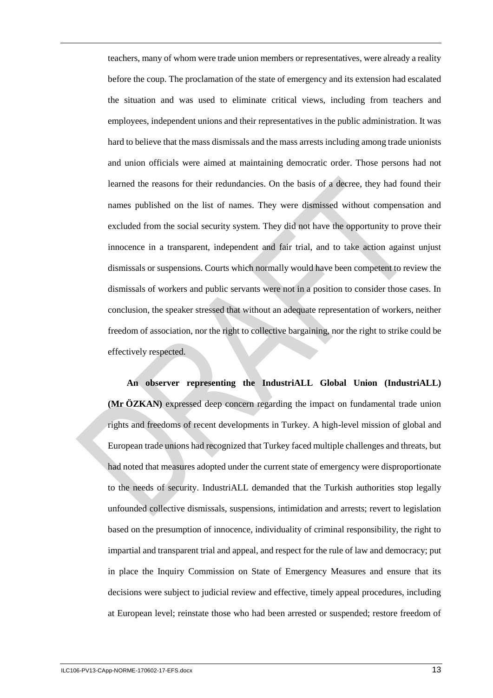teachers, many of whom were trade union members or representatives, were already a reality before the coup. The proclamation of the state of emergency and its extension had escalated the situation and was used to eliminate critical views, including from teachers and employees, independent unions and their representatives in the public administration. It was hard to believe that the mass dismissals and the mass arrests including among trade unionists and union officials were aimed at maintaining democratic order. Those persons had not learned the reasons for their redundancies. On the basis of a decree, they had found their names published on the list of names. They were dismissed without compensation and excluded from the social security system. They did not have the opportunity to prove their innocence in a transparent, independent and fair trial, and to take action against unjust dismissals or suspensions. Courts which normally would have been competent to review the dismissals of workers and public servants were not in a position to consider those cases. In conclusion, the speaker stressed that without an adequate representation of workers, neither freedom of association, nor the right to collective bargaining, nor the right to strike could be effectively respected.

**An observer representing the IndustriALL Global Union (IndustriALL) (Mr ÖZKAN)** expressed deep concern regarding the impact on fundamental trade union rights and freedoms of recent developments in Turkey. A high-level mission of global and European trade unions had recognized that Turkey faced multiple challenges and threats, but had noted that measures adopted under the current state of emergency were disproportionate to the needs of security. IndustriALL demanded that the Turkish authorities stop legally unfounded collective dismissals, suspensions, intimidation and arrests; revert to legislation based on the presumption of innocence, individuality of criminal responsibility, the right to impartial and transparent trial and appeal, and respect for the rule of law and democracy; put in place the Inquiry Commission on State of Emergency Measures and ensure that its decisions were subject to judicial review and effective, timely appeal procedures, including at European level; reinstate those who had been arrested or suspended; restore freedom of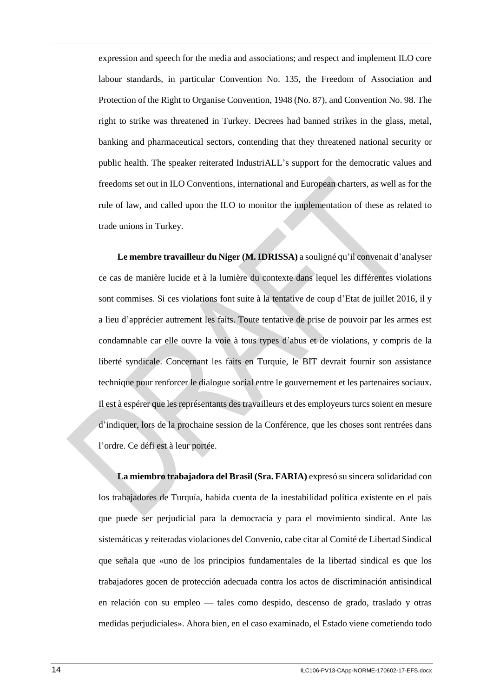expression and speech for the media and associations; and respect and implement ILO core labour standards, in particular Convention No. 135, the Freedom of Association and Protection of the Right to Organise Convention, 1948 (No. 87), and Convention No. 98. The right to strike was threatened in Turkey. Decrees had banned strikes in the glass, metal, banking and pharmaceutical sectors, contending that they threatened national security or public health. The speaker reiterated IndustriALL's support for the democratic values and freedoms set out in ILO Conventions, international and European charters, as well as for the rule of law, and called upon the ILO to monitor the implementation of these as related to trade unions in Turkey.

**Le membre travailleur du Niger (M. IDRISSA)** a souligné qu'il convenait d'analyser ce cas de manière lucide et à la lumière du contexte dans lequel les différentes violations sont commises. Si ces violations font suite à la tentative de coup d'Etat de juillet 2016, il y a lieu d'apprécier autrement les faits. Toute tentative de prise de pouvoir par les armes est condamnable car elle ouvre la voie à tous types d'abus et de violations, y compris de la liberté syndicale. Concernant les faits en Turquie, le BIT devrait fournir son assistance technique pour renforcer le dialogue social entre le gouvernement et les partenaires sociaux. Il est à espérer que les représentants des travailleurs et des employeurs turcs soient en mesure d'indiquer, lors de la prochaine session de la Conférence, que les choses sont rentrées dans l'ordre. Ce défi est à leur portée.

**La miembro trabajadora del Brasil (Sra. FARIA)** expresó su sincera solidaridad con los trabajadores de Turquía, habida cuenta de la inestabilidad política existente en el país que puede ser perjudicial para la democracia y para el movimiento sindical. Ante las sistemáticas y reiteradas violaciones del Convenio, cabe citar al Comité de Libertad Sindical que señala que «uno de los principios fundamentales de la libertad sindical es que los trabajadores gocen de protección adecuada contra los actos de discriminación antisindical en relación con su empleo — tales como despido, descenso de grado, traslado y otras medidas perjudiciales». Ahora bien, en el caso examinado, el Estado viene cometiendo todo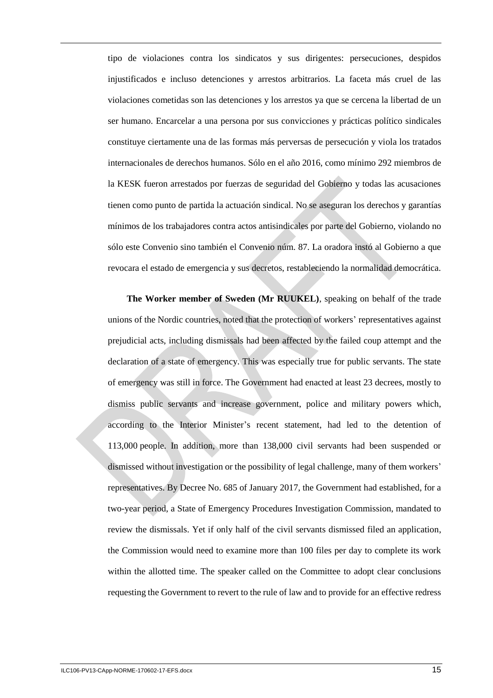tipo de violaciones contra los sindicatos y sus dirigentes: persecuciones, despidos injustificados e incluso detenciones y arrestos arbitrarios. La faceta más cruel de las violaciones cometidas son las detenciones y los arrestos ya que se cercena la libertad de un ser humano. Encarcelar a una persona por sus convicciones y prácticas político sindicales constituye ciertamente una de las formas más perversas de persecución y viola los tratados internacionales de derechos humanos. Sólo en el año 2016, como mínimo 292 miembros de la KESK fueron arrestados por fuerzas de seguridad del Gobierno y todas las acusaciones tienen como punto de partida la actuación sindical. No se aseguran los derechos y garantías mínimos de los trabajadores contra actos antisindicales por parte del Gobierno, violando no sólo este Convenio sino también el Convenio núm. 87. La oradora instó al Gobierno a que revocara el estado de emergencia y sus decretos, restableciendo la normalidad democrática.

**The Worker member of Sweden (Mr RUUKEL)**, speaking on behalf of the trade unions of the Nordic countries, noted that the protection of workers' representatives against prejudicial acts, including dismissals had been affected by the failed coup attempt and the declaration of a state of emergency. This was especially true for public servants. The state of emergency was still in force. The Government had enacted at least 23 decrees, mostly to dismiss public servants and increase government, police and military powers which, according to the Interior Minister's recent statement, had led to the detention of 113,000 people. In addition, more than 138,000 civil servants had been suspended or dismissed without investigation or the possibility of legal challenge, many of them workers' representatives. By Decree No. 685 of January 2017, the Government had established, for a two-year period, a State of Emergency Procedures Investigation Commission, mandated to review the dismissals. Yet if only half of the civil servants dismissed filed an application, the Commission would need to examine more than 100 files per day to complete its work within the allotted time. The speaker called on the Committee to adopt clear conclusions requesting the Government to revert to the rule of law and to provide for an effective redress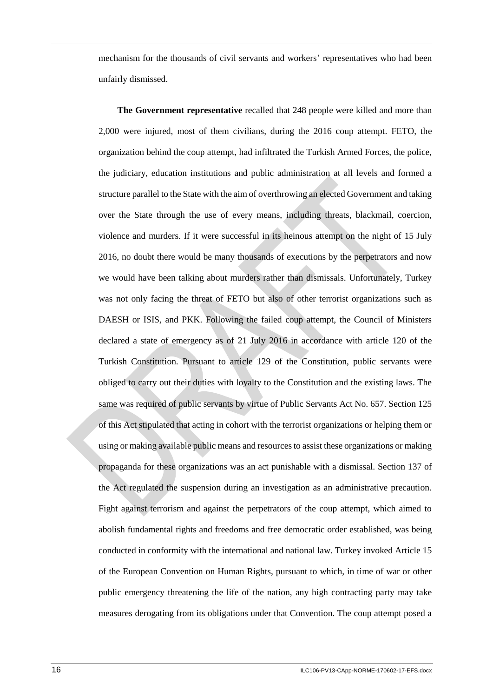mechanism for the thousands of civil servants and workers' representatives who had been unfairly dismissed.

**The Government representative** recalled that 248 people were killed and more than 2,000 were injured, most of them civilians, during the 2016 coup attempt. FETO, the organization behind the coup attempt, had infiltrated the Turkish Armed Forces, the police, the judiciary, education institutions and public administration at all levels and formed a structure parallel to the State with the aim of overthrowing an elected Government and taking over the State through the use of every means, including threats, blackmail, coercion, violence and murders. If it were successful in its heinous attempt on the night of 15 July 2016, no doubt there would be many thousands of executions by the perpetrators and now we would have been talking about murders rather than dismissals. Unfortunately, Turkey was not only facing the threat of FETO but also of other terrorist organizations such as DAESH or ISIS, and PKK. Following the failed coup attempt, the Council of Ministers declared a state of emergency as of 21 July 2016 in accordance with article 120 of the Turkish Constitution. Pursuant to article 129 of the Constitution, public servants were obliged to carry out their duties with loyalty to the Constitution and the existing laws. The same was required of public servants by virtue of Public Servants Act No. 657. Section 125 of this Act stipulated that acting in cohort with the terrorist organizations or helping them or using or making available public means and resources to assist these organizations or making propaganda for these organizations was an act punishable with a dismissal. Section 137 of the Act regulated the suspension during an investigation as an administrative precaution. Fight against terrorism and against the perpetrators of the coup attempt, which aimed to abolish fundamental rights and freedoms and free democratic order established, was being conducted in conformity with the international and national law. Turkey invoked Article 15 of the European Convention on Human Rights, pursuant to which, in time of war or other public emergency threatening the life of the nation, any high contracting party may take measures derogating from its obligations under that Convention. The coup attempt posed a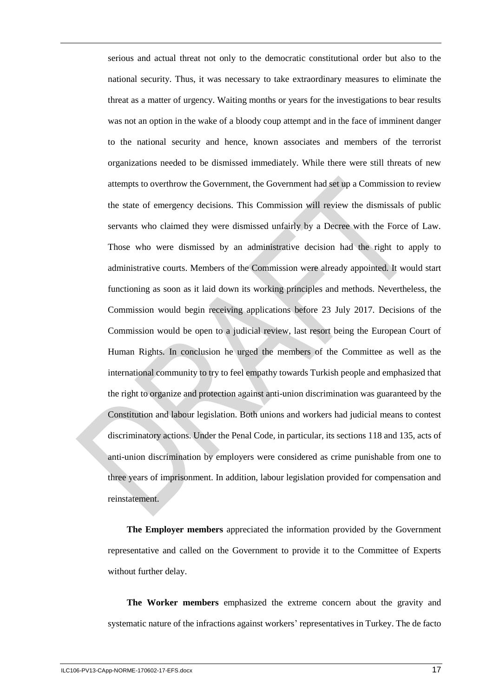serious and actual threat not only to the democratic constitutional order but also to the national security. Thus, it was necessary to take extraordinary measures to eliminate the threat as a matter of urgency. Waiting months or years for the investigations to bear results was not an option in the wake of a bloody coup attempt and in the face of imminent danger to the national security and hence, known associates and members of the terrorist organizations needed to be dismissed immediately. While there were still threats of new attempts to overthrow the Government, the Government had set up a Commission to review the state of emergency decisions. This Commission will review the dismissals of public servants who claimed they were dismissed unfairly by a Decree with the Force of Law. Those who were dismissed by an administrative decision had the right to apply to administrative courts. Members of the Commission were already appointed. It would start functioning as soon as it laid down its working principles and methods. Nevertheless, the Commission would begin receiving applications before 23 July 2017. Decisions of the Commission would be open to a judicial review, last resort being the European Court of Human Rights. In conclusion he urged the members of the Committee as well as the international community to try to feel empathy towards Turkish people and emphasized that the right to organize and protection against anti-union discrimination was guaranteed by the Constitution and labour legislation. Both unions and workers had judicial means to contest discriminatory actions. Under the Penal Code, in particular, its sections 118 and 135, acts of anti-union discrimination by employers were considered as crime punishable from one to three years of imprisonment. In addition, labour legislation provided for compensation and reinstatement.

**The Employer members** appreciated the information provided by the Government representative and called on the Government to provide it to the Committee of Experts without further delay.

**The Worker members** emphasized the extreme concern about the gravity and systematic nature of the infractions against workers' representatives in Turkey. The de facto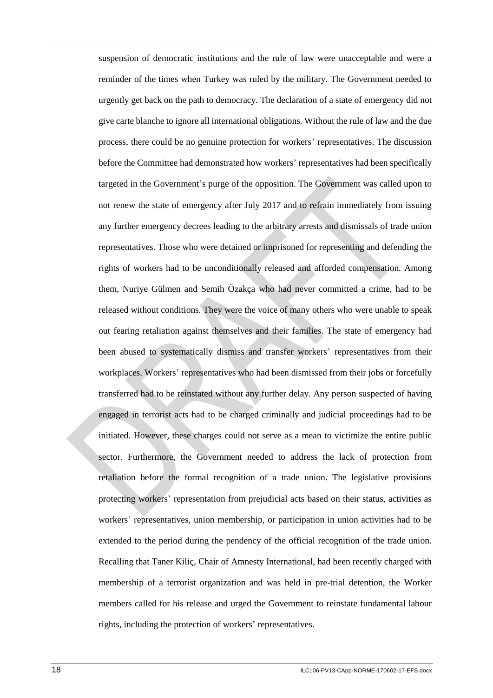suspension of democratic institutions and the rule of law were unacceptable and were a reminder of the times when Turkey was ruled by the military. The Government needed to urgently get back on the path to democracy. The declaration of a state of emergency did not give carte blanche to ignore all international obligations. Without the rule of law and the due process, there could be no genuine protection for workers' representatives. The discussion before the Committee had demonstrated how workers' representatives had been specifically targeted in the Government's purge of the opposition. The Government was called upon to not renew the state of emergency after July 2017 and to refrain immediately from issuing any further emergency decrees leading to the arbitrary arrests and dismissals of trade union representatives. Those who were detained or imprisoned for representing and defending the rights of workers had to be unconditionally released and afforded compensation. Among them, Nuriye Gülmen and Semih Özakça who had never committed a crime, had to be released without conditions. They were the voice of many others who were unable to speak out fearing retaliation against themselves and their families. The state of emergency had been abused to systematically dismiss and transfer workers' representatives from their workplaces. Workers' representatives who had been dismissed from their jobs or forcefully transferred had to be reinstated without any further delay. Any person suspected of having engaged in terrorist acts had to be charged criminally and judicial proceedings had to be initiated. However, these charges could not serve as a mean to victimize the entire public sector. Furthermore, the Government needed to address the lack of protection from retaliation before the formal recognition of a trade union. The legislative provisions protecting workers' representation from prejudicial acts based on their status, activities as workers' representatives, union membership, or participation in union activities had to be extended to the period during the pendency of the official recognition of the trade union. Recalling that Taner Kiliç, Chair of Amnesty International, had been recently charged with membership of a terrorist organization and was held in pre-trial detention, the Worker members called for his release and urged the Government to reinstate fundamental labour rights, including the protection of workers' representatives.